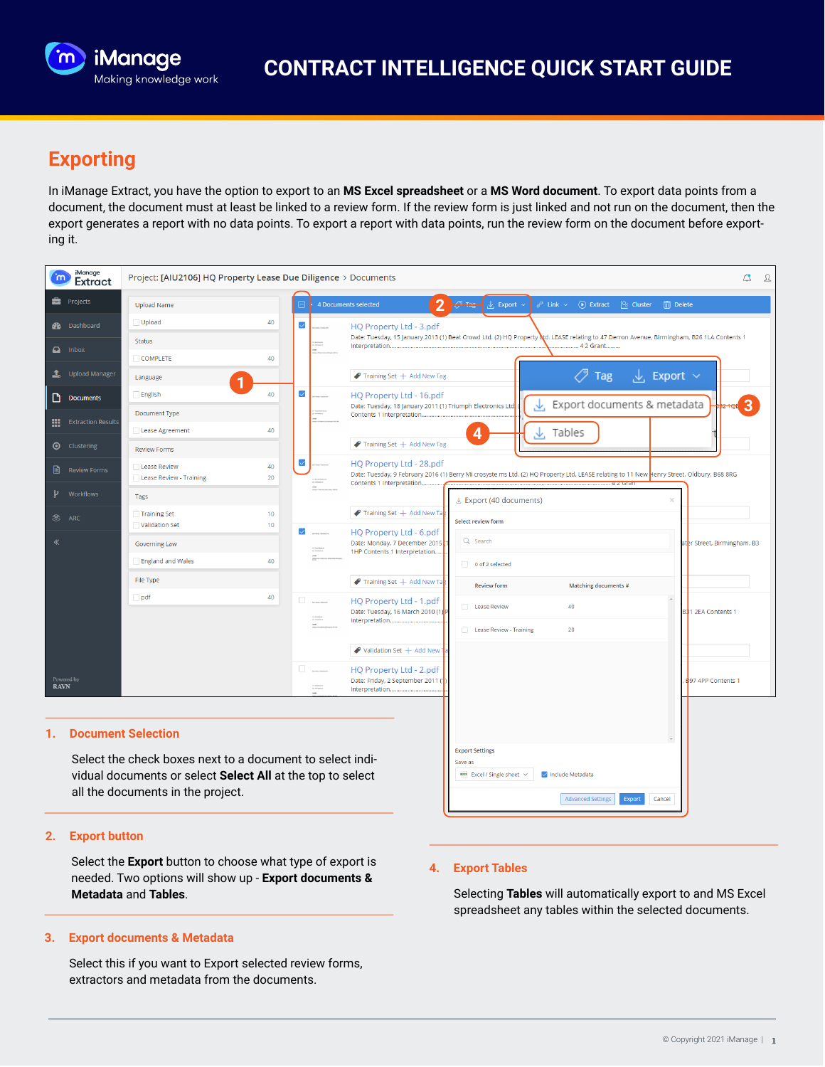

## **Exporting**

In iManage Extract, you have the option to export to an **MS Excel spreadsheet** or a **MS Word document**. To export data points from a document, the document must at least be linked to a review form. If the review form is just linked and not run on the document, then the export generates a report with no data points. To export a report with data points, run the review form on the document before exporting it.

| iManage<br>m<br>Extract   | Project: [AIU2106] HQ Property Lease Due Diligence > Documents |          |                                                                                                                                                                                                                                      |                                                                                                                                                                       |                               |                        |                             |  |  |  |  |
|---------------------------|----------------------------------------------------------------|----------|--------------------------------------------------------------------------------------------------------------------------------------------------------------------------------------------------------------------------------------|-----------------------------------------------------------------------------------------------------------------------------------------------------------------------|-------------------------------|------------------------|-----------------------------|--|--|--|--|
| <b>Projects</b>           | <b>Upload Name</b>                                             |          |                                                                                                                                                                                                                                      | $\odot$ Extract $\odot$ Cluster<br>$\overline{\mathbb{III}}$ Delete<br>4 Documents selected<br>Export $\sim$<br>$\delta$ Link $\vee$                                  |                               |                        |                             |  |  |  |  |
| <b>28</b> Dashboard       | Upload                                                         | 40       | $\checkmark$                                                                                                                                                                                                                         | HQ Property Ltd - 3.pdf                                                                                                                                               |                               |                        |                             |  |  |  |  |
|                           | <b>Status</b>                                                  |          |                                                                                                                                                                                                                                      | Date: Tuesday, 15 January 2013 (1) Beat Crowd Ltd. (2) HQ Property Ltd. LEASE relating to 47 Derron Avenue, Birmingham, B26 1LA Contents 1<br>Interpretation          |                               |                        |                             |  |  |  |  |
| $\Box$ Inbox              | <b>COMPLETE</b>                                                | 40       |                                                                                                                                                                                                                                      |                                                                                                                                                                       |                               | 4 2 Grant              |                             |  |  |  |  |
| $\bullet$ Upload Manager  | Language                                                       |          |                                                                                                                                                                                                                                      | $\blacktriangleright$ Training Set $+$ Add New Tag                                                                                                                    | $\sqrt{2}$ Export $\sim$      |                        |                             |  |  |  |  |
| Documents                 | English                                                        | 40       | $\checkmark$                                                                                                                                                                                                                         | HQ Property Ltd - 16.pdf                                                                                                                                              |                               |                        |                             |  |  |  |  |
| <b>Extraction Results</b> | Document Type                                                  |          |                                                                                                                                                                                                                                      | Export documents & metadata<br>↓<br>Date: Tuesday, 18 January 2011 (1) Triumph Electronics Ltd<br>Contents 1 Interpretation                                           |                               |                        | 3                           |  |  |  |  |
|                           | Lease Agreement                                                | 40       |                                                                                                                                                                                                                                      |                                                                                                                                                                       | 4                             | Tables<br>$\downarrow$ |                             |  |  |  |  |
| <b>O</b> Clustering       | <b>Review Forms</b>                                            |          |                                                                                                                                                                                                                                      | $\blacktriangleright$ Training Set $+$ Add New Tag                                                                                                                    |                               |                        |                             |  |  |  |  |
| B<br><b>Review Forms</b>  | Lease Review                                                   | 40       | $\checkmark$                                                                                                                                                                                                                         | HQ Property Ltd - 28.pdf<br>Date: Tuesday, 9 February 2016 (1) Berry Mi crosyste ms Ltd. (2) HQ Property Ltd. LEASE relating to 11 New Henry Street, Oldbury, B68 8RG |                               |                        |                             |  |  |  |  |
| Workflows                 | Lease Review - Training                                        | 20       | $\alpha$ in the<br>second $\alpha = 0.5 \, \mathrm{mW} \, \mathrm{cm}$                                                                                                                                                               | Contents 1 Interpretation                                                                                                                                             |                               | $42$ Gran              |                             |  |  |  |  |
| P                         | Tags                                                           |          |                                                                                                                                                                                                                                      |                                                                                                                                                                       | と Export (40 documents)       | $\times$               |                             |  |  |  |  |
| SS ARC                    | Training Set<br>Validation Set                                 | 10<br>10 |                                                                                                                                                                                                                                      | $\blacktriangleright$ Training Set $+$ Add New T                                                                                                                      | Select review form            |                        |                             |  |  |  |  |
| 《                         | Governing Law                                                  |          | $\checkmark$                                                                                                                                                                                                                         | HQ Property Ltd - 6.pdf<br>Date: Monday, 7 December 2015<br>1HP Contents 1 Interpretation                                                                             | Q Search                      |                        | ater Street, Birmingham, B3 |  |  |  |  |
|                           | <b>England and Wales</b>                                       | 40       | $\begin{aligned} (1 & \quad \text{for all } 0 \leq 0 \\ (1 & \quad \text{if } 0 \leq \log n) > 0 \end{aligned}$                                                                                                                      |                                                                                                                                                                       | 0 of 2 selected               |                        |                             |  |  |  |  |
|                           | File Type                                                      |          |                                                                                                                                                                                                                                      | $\blacktriangleright$ Training Set $+$ Add New Ta                                                                                                                     |                               |                        |                             |  |  |  |  |
|                           | pdf                                                            | 40       | <b>Contract Contract Contract Contract Contract Contract Contract Contract Contract Contract Contract Contract Contract Contract Contract Contract Contract Contract Contract Contract Contract Contract Contract Contract Contr</b> |                                                                                                                                                                       | <b>Review form</b>            | Matching documents #   |                             |  |  |  |  |
|                           |                                                                |          | $\begin{aligned} (1 & \quad \text{Re} \text{ VDR} \times \text{R} \\ (2 & \quad \text{Re} \text{ PPR} \times \text{R} \end{aligned}$                                                                                                 | HQ Property Ltd - 1.pdf<br>Date: Tuesday, 16 March 2010 (1)<br>Interpretation                                                                                         | Lease Review                  | 40                     | B31 2EA Contents 1          |  |  |  |  |
|                           |                                                                |          |                                                                                                                                                                                                                                      |                                                                                                                                                                       | 20<br>Lease Review - Training |                        |                             |  |  |  |  |
|                           |                                                                |          |                                                                                                                                                                                                                                      | $\blacktriangleright$ Validation Set $+$ Add New                                                                                                                      |                               |                        |                             |  |  |  |  |
|                           |                                                                |          | $\Box$ - as the charge of                                                                                                                                                                                                            | HQ Property Ltd - 2.pdf                                                                                                                                               |                               |                        |                             |  |  |  |  |
| Powered by<br><b>RAVN</b> |                                                                |          | $\alpha$ inches<br>out                                                                                                                                                                                                               | Date: Friday, 2 September 2011 (1<br>Interpretation                                                                                                                   |                               |                        | <b>B</b> 97 4PP Contents 1  |  |  |  |  |
|                           |                                                                |          |                                                                                                                                                                                                                                      |                                                                                                                                                                       |                               |                        |                             |  |  |  |  |
|                           |                                                                |          |                                                                                                                                                                                                                                      |                                                                                                                                                                       |                               |                        |                             |  |  |  |  |
| 1.                        | <b>Document Selection</b>                                      |          |                                                                                                                                                                                                                                      |                                                                                                                                                                       |                               |                        |                             |  |  |  |  |
|                           | Select the check boxes next to a document to select indi-      |          |                                                                                                                                                                                                                                      | <b>Export Settings</b>                                                                                                                                                |                               |                        |                             |  |  |  |  |
|                           | vidual documents or select Select All at the top to select     |          |                                                                                                                                                                                                                                      | Save as<br>Excel / Single sheet $\vee$                                                                                                                                | Include Metadata              |                        |                             |  |  |  |  |

### **2. Export button**

Select the **Export** button to choose what type of export is needed. Two options will show up - **Export documents & Metadata** and **Tables**.

### **3. Export documents & Metadata**

all the documents in the project.

Select this if you want to Export selected review forms, extractors and metadata from the documents.

#### **4. Export Tables**

Selecting **Tables** will automatically export to and MS Excel spreadsheet any tables within the selected documents.

Advanced Settings